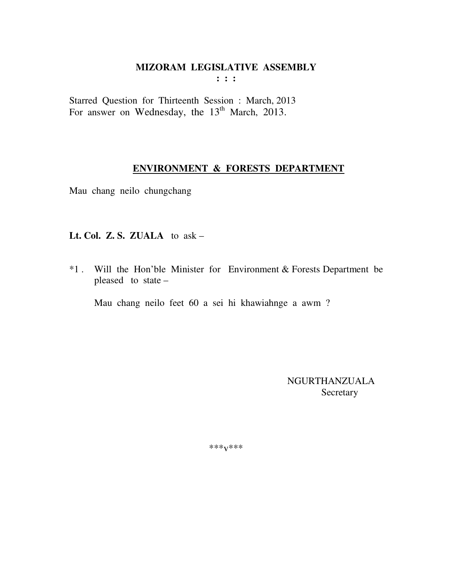$\mathbf{1}$  :  $\mathbf{1}$ 

Starred Question for Thirteenth Session : March, 2013 For answer on Wednesday, the 13<sup>th</sup> March, 2013.

#### **ENVIRONMENT & FORESTS DEPARTMENT**

Mau chang neilo chungchang

# Lt. Col. Z. S. ZUALA to  $ask -$

\*1. Will the Hon'ble Minister for Environment & Forests Department be pleased to state -

Mau chang neilo feet 60 a sei hi khawiahnge a awm ?

NGURTHANZUALA Secretary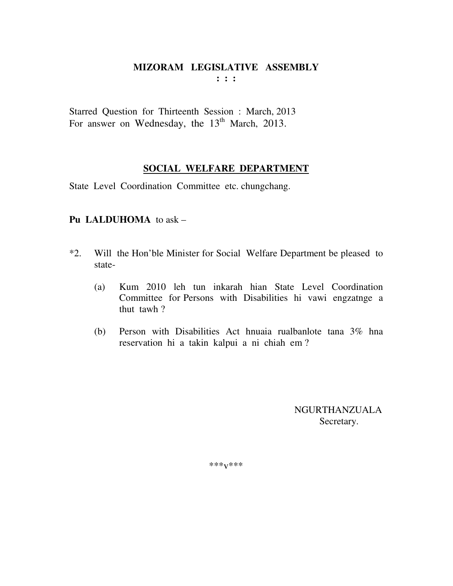Starred Question for Thirteenth Session : March, 2013 For answer on Wednesday, the 13<sup>th</sup> March, 2013.

SOCIAL WELFARE DEPARTMENT

State Level Coordination Committee etc. chungchang.

# Pu LALDUHOMA to ask -

- $*2.$ Will the Hon'ble Minister for Social Welfare Department be pleased to state-
	- Kum 2010 leh tun inkarah hian State Level Coordination  $(a)$ Committee for Persons with Disabilities hi vawi engzatnge a thut tawh?
	- Person with Disabilities Act hnuaia rualbanlote tana 3% hna  $(b)$ reservation hi a takin kalpui a ni chiah em?

**NGURTHANZUALA** Secretary.

\*\*\*<sub>V</sub>\*\*\*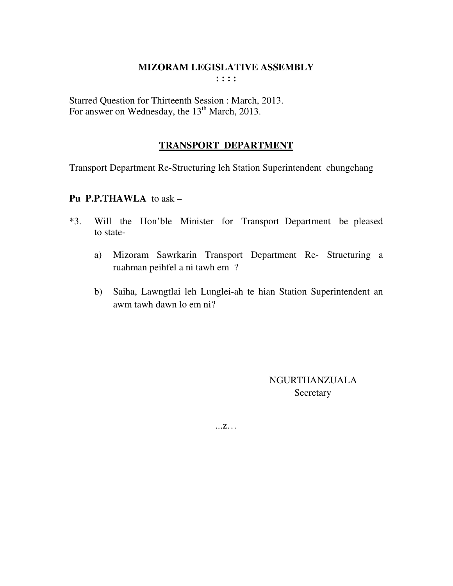Starred Question for Thirteenth Session : March, 2013. For answer on Wednesday, the 13<sup>th</sup> March, 2013.

# **TRANSPORT DEPARTMENT**

Transport Department Re-Structuring leh Station Superintendent chungchang

# Pu P.P.THAWLA to ask -

- Will the Hon'ble Minister for Transport Department be pleased  $*3.$ to state-
	- Mizoram Sawrkarin Transport Department Re- Structuring a a) ruahman peihfel a ni tawh em ?
	- Saiha, Lawngtlai leh Lunglei-ah te hian Station Superintendent an  $b)$ awm tawh dawn lo em ni?

**NGURTHANZUALA** Secretary

 $\dots Z\dots$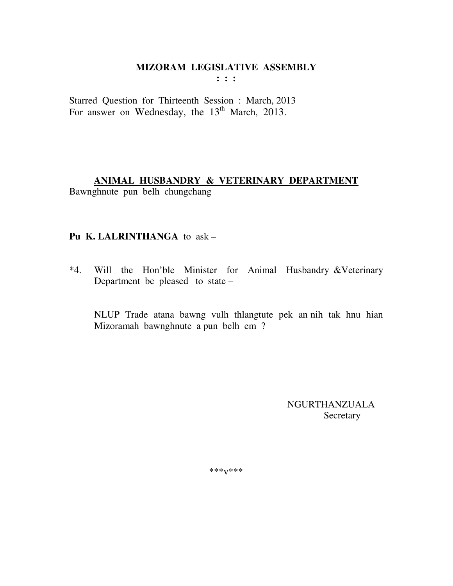$: : :$ 

Starred Question for Thirteenth Session : March, 2013 For answer on Wednesday, the 13<sup>th</sup> March, 2013.

# ANIMAL HUSBANDRY & VETERINARY DEPARTMENT

Bawnghnute pun belh chungchang

#### Pu K. LALRINTHANGA to ask -

\*4. Will the Hon'ble Minister for Animal Husbandry & Veterinary Department be pleased to state –

NLUP Trade atana bawng vulh thlangtute pek an nih tak hnu hian Mizoramah bawnghnute a pun belh em ?

> **NGURTHANZUALA** Secretary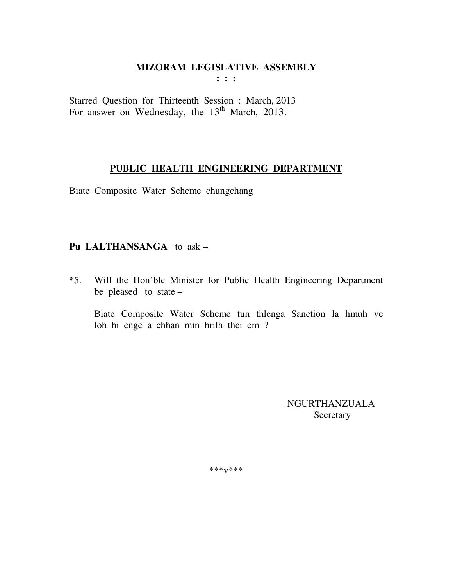$: : :$ 

Starred Question for Thirteenth Session : March, 2013 For answer on Wednesday, the 13<sup>th</sup> March, 2013.

#### PUBLIC HEALTH ENGINEERING DEPARTMENT

Biate Composite Water Scheme chungchang

# Pu LALTHANSANGA to ask -

Will the Hon'ble Minister for Public Health Engineering Department  $*5.$ be pleased to state -

Biate Composite Water Scheme tun thlenga Sanction la hmuh ve loh hi enge a chhan min hrilh thei em?

> **NGURTHANZUALA** Secretary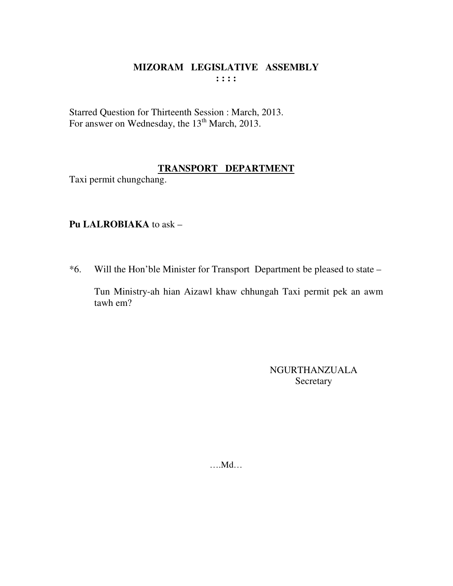Starred Question for Thirteenth Session : March, 2013.<br>For answer on Wednesday, the 13<sup>th</sup> March, 2013.

#### TRANSPORT DEPARTMENT

Taxi permit chungchang.

# Pu LALROBIAKA to ask -

\*6. Will the Hon'ble Minister for Transport Department be pleased to state –

Tun Ministry-ah hian Aizawl khaw chhungah Taxi permit pek an awm  $t$ awh em?

> NGURTHANZUALA Secretary

 $...$ Md $...$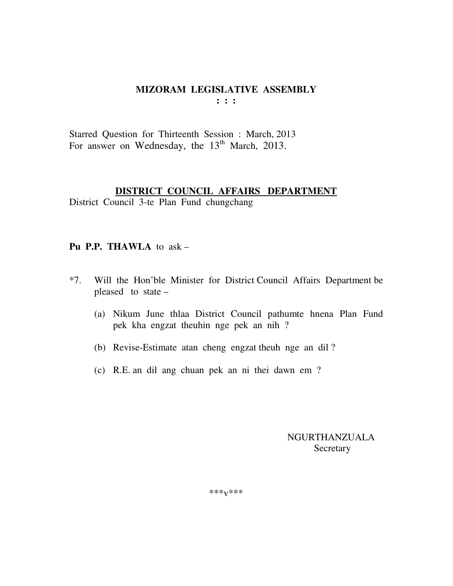Starred Question for Thirteenth Session : March, 2013 For answer on Wednesday, the 13<sup>th</sup> March, 2013.

#### DISTRICT COUNCIL AFFAIRS DEPARTMENT

District Council 3-te Plan Fund chungchang

#### Pu P.P. THAWLA to ask -

- Will the Hon'ble Minister for District Council Affairs Department be  $*7.$ pleased to state  $-$ 
	- (a) Nikum June thlaa District Council pathumte hnena Plan Fund pek kha engzat theuhin nge pek an nih?
	- (b) Revise-Estimate atan cheng engzat theuh nge an dil?
	- (c) R.E. an dil ang chuan pek an ni thei dawn em ?

**NGURTHANZUALA** Secretary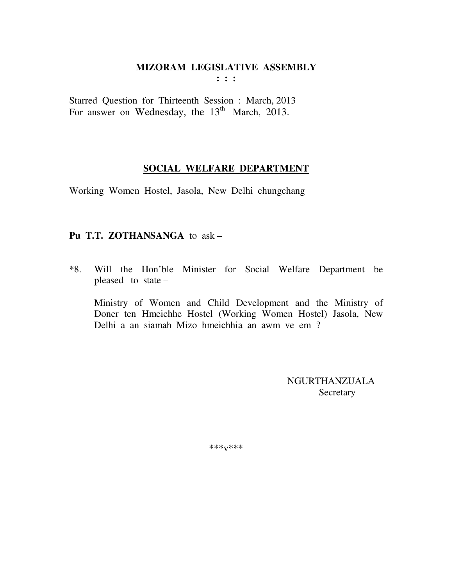$: : :$ 

Starred Question for Thirteenth Session : March, 2013 For answer on Wednesday, the  $13<sup>th</sup>$  March, 2013.

#### SOCIAL WELFARE DEPARTMENT

Working Women Hostel, Jasola, New Delhi chungchang

# Pu T.T. ZOTHANSANGA to ask -

Will the Hon'ble Minister for Social Welfare Department be  $*8.$ pleased to state  $-$ 

Ministry of Women and Child Development and the Ministry of Doner ten Hmeichhe Hostel (Working Women Hostel) Jasola, New Delhi a an siamah Mizo hmeichhia an awm ve em?

> NGURTHANZUALA Secretary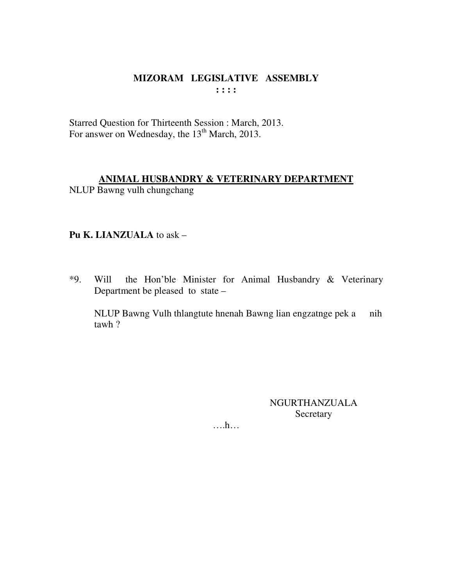Starred Question for Thirteenth Session : March, 2013. For answer on Wednesday, the 13<sup>th</sup> March, 2013.

# ANIMAL HUSBANDRY & VETERINARY DEPARTMENT

NLUP Bawng vulh chungchang

#### Pu K. LIANZUALA to ask -

 $*9.$ the Hon'ble Minister for Animal Husbandry & Veterinary Will Department be pleased to state –

NLUP Bawng Vulh thlangtute hnenah Bawng lian engzatnge pek a nih  $tawh$  ?

> NGURTHANZUALA Secretary

 $\dots$ ...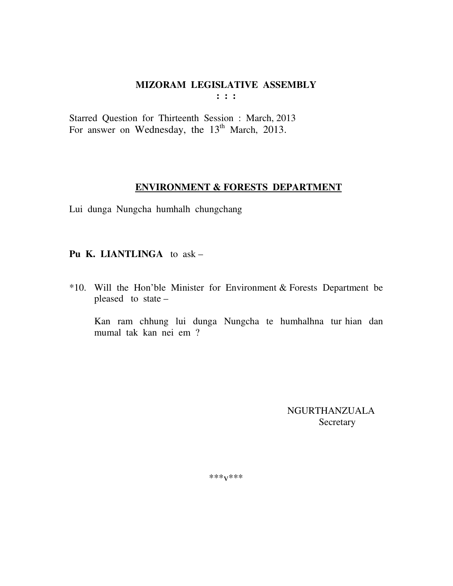Starred Question for Thirteenth Session : March, 2013 For answer on Wednesday, the  $13<sup>th</sup>$  March, 2013.

# **ENVIRONMENT & FORESTS DEPARTMENT**

Lui dunga Nungcha humhalh chungchang

# **Pu K. LIANTLINGA** to ask –

\*10. Will the Hon'ble Minister for Environment & Forests Department be pleased to state –

 Kan ram chhung lui dunga Nungcha te humhalhna tur hian dan mumal tak kan nei em ?

> NGURTHANZUALA Secretary

\*\*\*v\*\*\*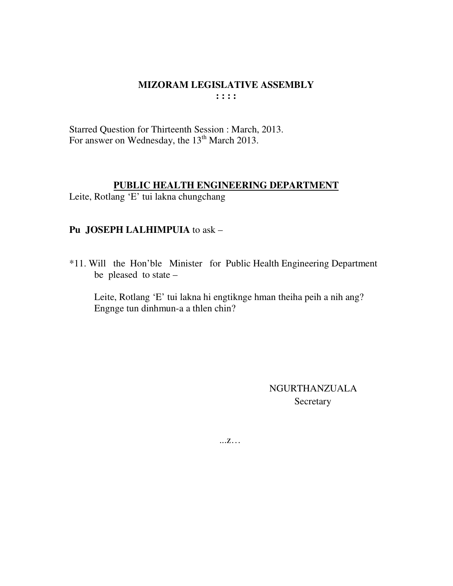Starred Question for Thirteenth Session : March, 2013. For answer on Wednesday, the 13<sup>th</sup> March 2013.

#### **PUBLIC HEALTH ENGINEERING DEPARTMENT**

Leite, Rotlang 'E' tui lakna chungchang

# **Pu JOSEPH LALHIMPUIA** to ask –

\*11. Will the Hon'ble Minister for Public Health Engineering Department be pleased to state –

Leite, Rotlang 'E' tui lakna hi engtiknge hman theiha peih a nih ang? Engnge tun dinhmun-a a thlen chin?

> NGURTHANZUALA Secretary

...z…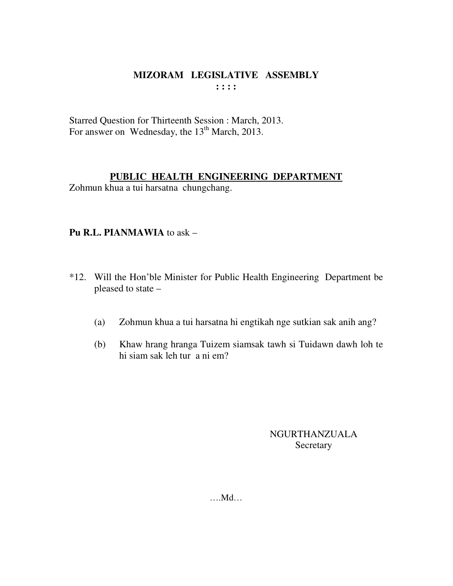Starred Question for Thirteenth Session : March, 2013. For answer on Wednesday, the  $13<sup>th</sup>$  March, 2013.

#### **PUBLIC HEALTH ENGINEERING DEPARTMENT**

Zohmun khua a tui harsatna chungchang.

# **Pu R.L. PIANMAWIA** to ask –

- \*12. Will the Hon'ble Minister for Public Health Engineering Department be pleased to state –
	- (a) Zohmun khua a tui harsatna hi engtikah nge sutkian sak anih ang?
	- (b) Khaw hrang hranga Tuizem siamsak tawh si Tuidawn dawh loh te hi siam sak leh tur a ni em?

# NGURTHANZUALA **Secretary**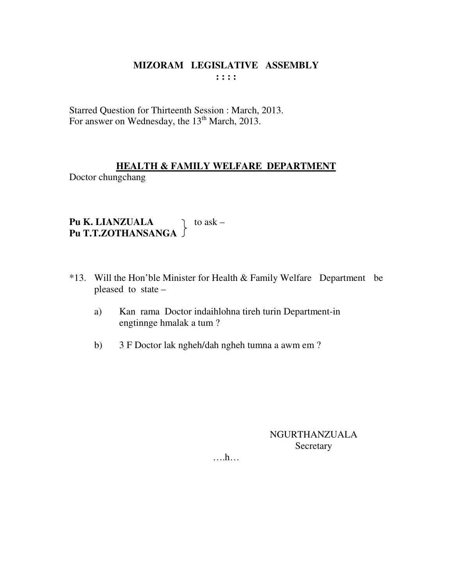Starred Question for Thirteenth Session : March, 2013. For answer on Wednesday, the 13<sup>th</sup> March, 2013.

# **HEALTH & FAMILY WELFARE DEPARTMENT**

Doctor chungchang

Pu K. LIANZUALA do ask -<br>Pu T.T.ZOTHANSANGA

- \*13. Will the Hon'ble Minister for Health & Family Welfare Department be pleased to state -
	- Kan rama Doctor indaihlohna tireh turin Department-in a) engtinnge hmalak a tum?
	- 3 F Doctor lak ngheh/dah ngheh tumna a awm em?  $b)$

NGURTHANZUALA Secretary

 $\dots h$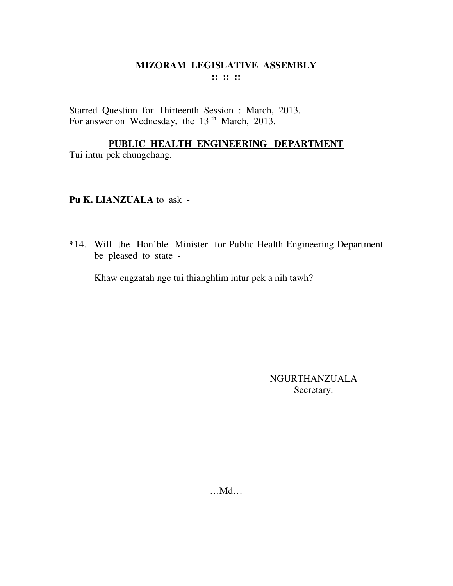Starred Question for Thirteenth Session : March, 2013. For answer on Wednesday, the 13<sup>th</sup> March, 2013.

# **PUBLIC HEALTH ENGINEERING DEPARTMENT**

Tui intur pek chungchang.

#### **Pu K. LIANZUALA** to ask -

\*14. Will the Hon'ble Minister for Public Health Engineering Department be pleased to state -

Khaw engzatah nge tui thianghlim intur pek a nih tawh?

NGURTHANZUALA Secretary.

…Md…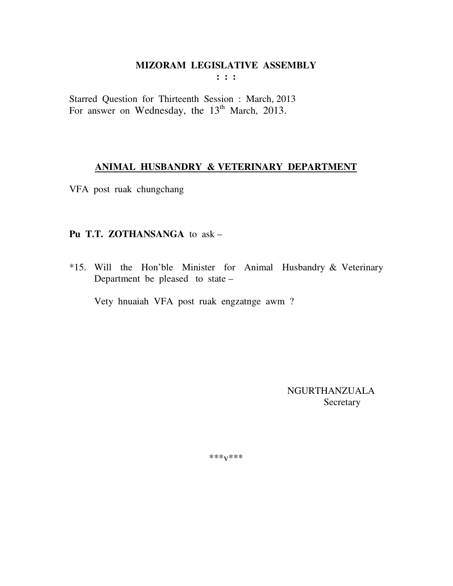$\cdots$ 

Starred Question for Thirteenth Session : March, 2013 For answer on Wednesday, the 13<sup>th</sup> March, 2013.

#### ANIMAL HUSBANDRY & VETERINARY DEPARTMENT

VFA post ruak chungchang

#### Pu T.T. ZOTHANSANGA to ask -

\*15. Will the Hon'ble Minister for Animal Husbandry & Veterinary Department be pleased to state -

Vety hnuaiah VFA post ruak engzatnge awm?

NGURTHANZUALA Secretary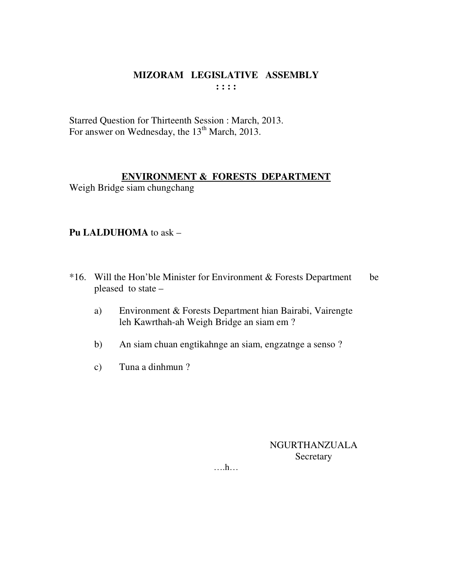Starred Question for Thirteenth Session : March, 2013. For answer on Wednesday, the 13<sup>th</sup> March, 2013.

# **ENVIRONMENT & FORESTS DEPARTMENT**

Weigh Bridge siam chungchang

# Pu LALDUHOMA to ask -

- \*16. Will the Hon'ble Minister for Environment & Forests Department be pleased to state –
	- Environment & Forests Department hian Bairabi, Vairengte a) leh Kawrthah-ah Weigh Bridge an siam em?
	- An siam chuan engtikahnge an siam, engzatnge a senso ?  $b)$
	- Tuna a dinhmun?  $c)$

**NGURTHANZUALA** Secretary

 $\dots$ ...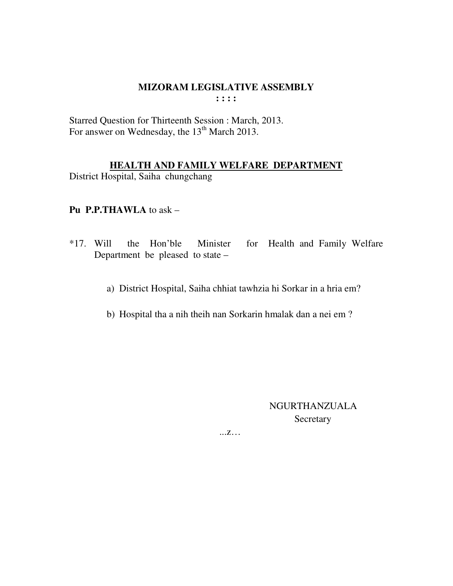Starred Question for Thirteenth Session : March, 2013. For answer on Wednesday, the 13<sup>th</sup> March 2013.

# **HEALTH AND FAMILY WELFARE DEPARTMENT**

District Hospital, Saiha chungchang

# **Pu P.P.THAWLA** to ask –

- \*17. Will the Hon'ble Minister for Health and Family Welfare Department be pleased to state –
	- a) District Hospital, Saiha chhiat tawhzia hi Sorkar in a hria em?
	- b) Hospital tha a nih theih nan Sorkarin hmalak dan a nei em ?

 NGURTHANZUALA Secretary

...z…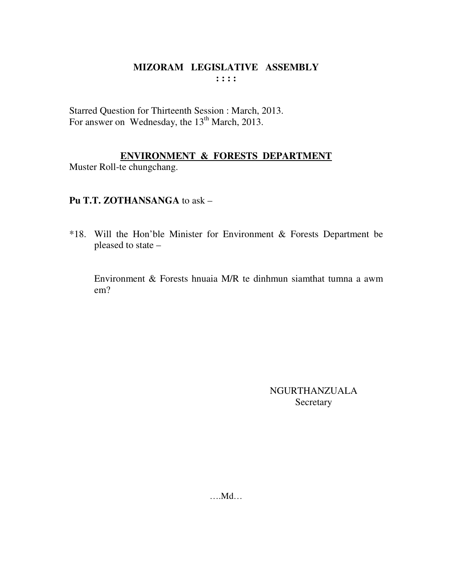Starred Question for Thirteenth Session : March, 2013. For answer on Wednesday, the 13<sup>th</sup> March, 2013.

# ENVIRONMENT & FORESTS DEPARTMENT

Muster Roll-te chungchang.

# Pu T.T. ZOTHANSANGA to ask -

\*18. Will the Hon'ble Minister for Environment & Forests Department be pleased to state -

Environment & Forests hnuaia M/R te dinhmun siamthat tumna a awm  $em?$ 

> **NGURTHANZUALA** Secretary

 $....Md...$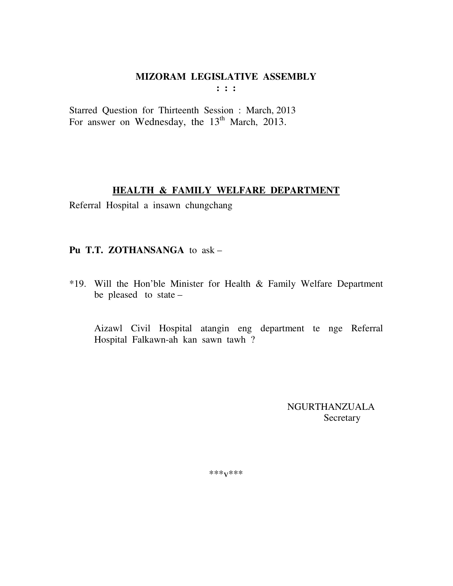$: : :$ 

Starred Question for Thirteenth Session : March, 2013 For answer on Wednesday, the 13<sup>th</sup> March, 2013.

#### HEALTH & FAMILY WELFARE DEPARTMENT

Referral Hospital a insawn chungchang

# Pu T.T. ZOTHANSANGA to ask -

\*19. Will the Hon'ble Minister for Health & Family Welfare Department be pleased to state  $-$ 

Aizawl Civil Hospital atangin eng department te nge Referral Hospital Falkawn-ah kan sawn tawh ?

> NGURTHANZUALA Secretary